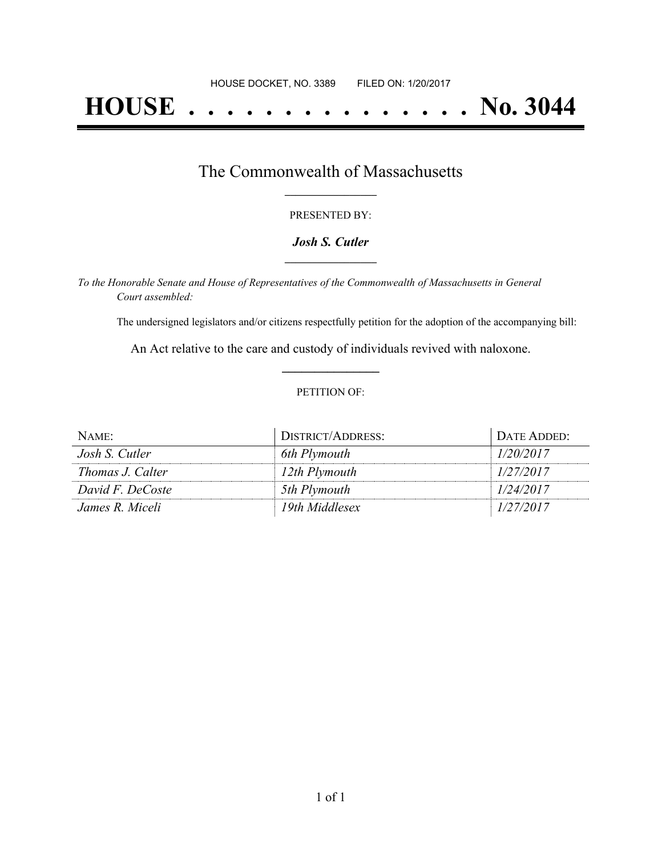# **HOUSE . . . . . . . . . . . . . . . No. 3044**

## The Commonwealth of Massachusetts **\_\_\_\_\_\_\_\_\_\_\_\_\_\_\_\_\_**

#### PRESENTED BY:

#### *Josh S. Cutler* **\_\_\_\_\_\_\_\_\_\_\_\_\_\_\_\_\_**

*To the Honorable Senate and House of Representatives of the Commonwealth of Massachusetts in General Court assembled:*

The undersigned legislators and/or citizens respectfully petition for the adoption of the accompanying bill:

An Act relative to the care and custody of individuals revived with naloxone. **\_\_\_\_\_\_\_\_\_\_\_\_\_\_\_**

#### PETITION OF:

| NAME:            | DISTRICT/ADDRESS: | DATE ADDED: |
|------------------|-------------------|-------------|
| Josh S. Cutler   | 6th Plymouth      | 1/20/2017   |
| Thomas J. Calter | 12th Plymouth     | 1/27/2017   |
| David F. DeCoste | 5th Plymouth      | 1/24/2017   |
| James R. Miceli  | 19th Middlesex    | 1/27/2017   |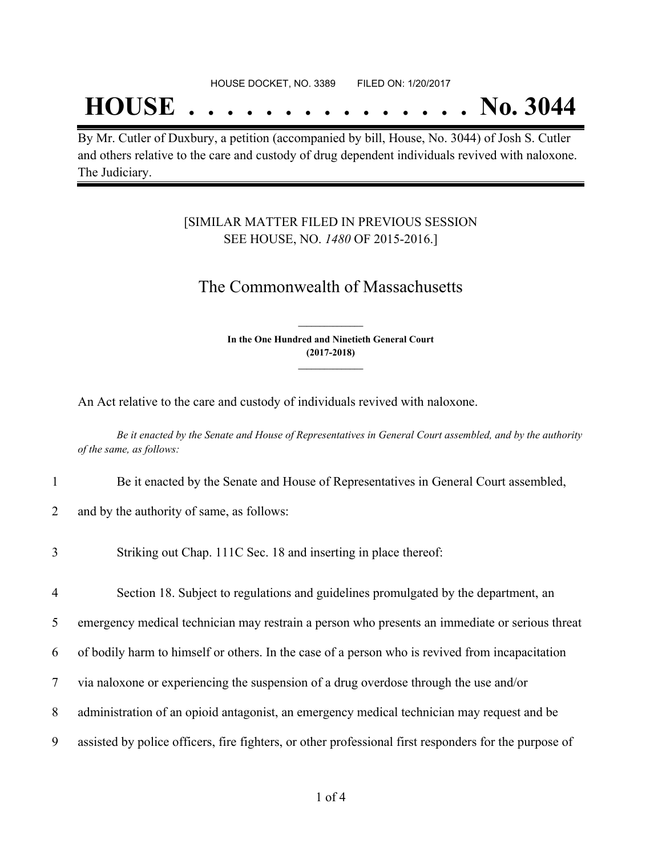## **HOUSE . . . . . . . . . . . . . . . No. 3044**

By Mr. Cutler of Duxbury, a petition (accompanied by bill, House, No. 3044) of Josh S. Cutler and others relative to the care and custody of drug dependent individuals revived with naloxone. The Judiciary.

### [SIMILAR MATTER FILED IN PREVIOUS SESSION SEE HOUSE, NO. *1480* OF 2015-2016.]

## The Commonwealth of Massachusetts

**In the One Hundred and Ninetieth General Court (2017-2018) \_\_\_\_\_\_\_\_\_\_\_\_\_\_\_**

**\_\_\_\_\_\_\_\_\_\_\_\_\_\_\_**

An Act relative to the care and custody of individuals revived with naloxone.

Be it enacted by the Senate and House of Representatives in General Court assembled, and by the authority *of the same, as follows:*

- 1 Be it enacted by the Senate and House of Representatives in General Court assembled,
- 2 and by the authority of same, as follows:
- 3 Striking out Chap. 111C Sec. 18 and inserting in place thereof:

4 Section 18. Subject to regulations and guidelines promulgated by the department, an

5 emergency medical technician may restrain a person who presents an immediate or serious threat

- 6 of bodily harm to himself or others. In the case of a person who is revived from incapacitation
- 7 via naloxone or experiencing the suspension of a drug overdose through the use and/or
- 8 administration of an opioid antagonist, an emergency medical technician may request and be
- 9 assisted by police officers, fire fighters, or other professional first responders for the purpose of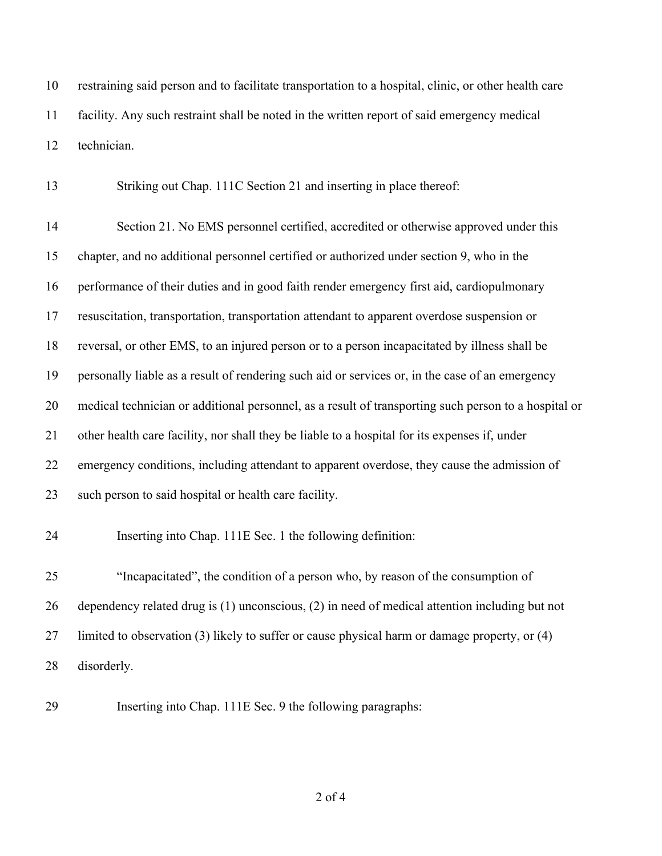restraining said person and to facilitate transportation to a hospital, clinic, or other health care facility. Any such restraint shall be noted in the written report of said emergency medical technician.

Striking out Chap. 111C Section 21 and inserting in place thereof:

 Section 21. No EMS personnel certified, accredited or otherwise approved under this chapter, and no additional personnel certified or authorized under section 9, who in the performance of their duties and in good faith render emergency first aid, cardiopulmonary resuscitation, transportation, transportation attendant to apparent overdose suspension or reversal, or other EMS, to an injured person or to a person incapacitated by illness shall be personally liable as a result of rendering such aid or services or, in the case of an emergency medical technician or additional personnel, as a result of transporting such person to a hospital or other health care facility, nor shall they be liable to a hospital for its expenses if, under emergency conditions, including attendant to apparent overdose, they cause the admission of such person to said hospital or health care facility.

Inserting into Chap. 111E Sec. 1 the following definition:

 "Incapacitated", the condition of a person who, by reason of the consumption of dependency related drug is (1) unconscious, (2) in need of medical attention including but not limited to observation (3) likely to suffer or cause physical harm or damage property, or (4) disorderly.

Inserting into Chap. 111E Sec. 9 the following paragraphs: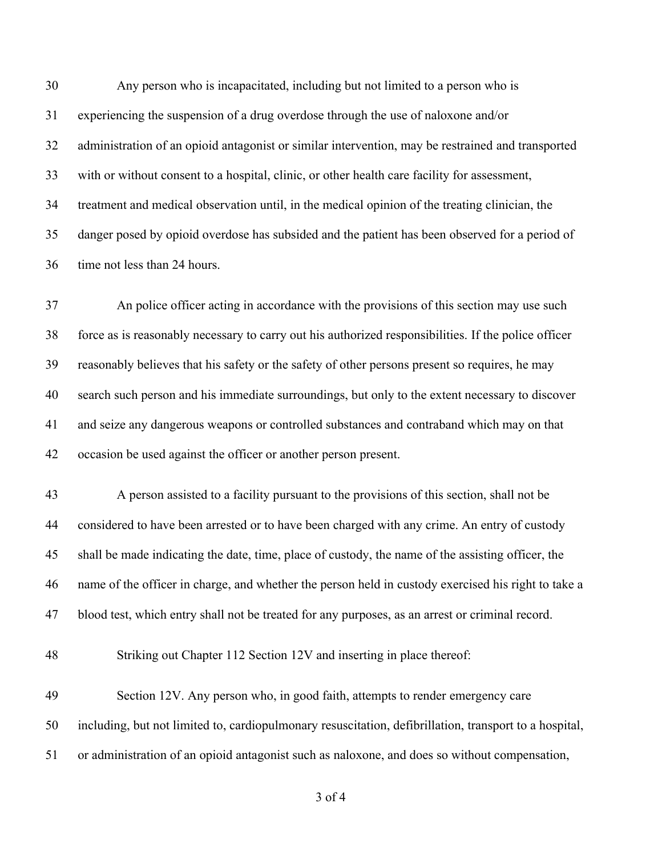Any person who is incapacitated, including but not limited to a person who is experiencing the suspension of a drug overdose through the use of naloxone and/or administration of an opioid antagonist or similar intervention, may be restrained and transported with or without consent to a hospital, clinic, or other health care facility for assessment, treatment and medical observation until, in the medical opinion of the treating clinician, the danger posed by opioid overdose has subsided and the patient has been observed for a period of time not less than 24 hours.

 An police officer acting in accordance with the provisions of this section may use such force as is reasonably necessary to carry out his authorized responsibilities. If the police officer reasonably believes that his safety or the safety of other persons present so requires, he may search such person and his immediate surroundings, but only to the extent necessary to discover and seize any dangerous weapons or controlled substances and contraband which may on that occasion be used against the officer or another person present.

 A person assisted to a facility pursuant to the provisions of this section, shall not be considered to have been arrested or to have been charged with any crime. An entry of custody shall be made indicating the date, time, place of custody, the name of the assisting officer, the name of the officer in charge, and whether the person held in custody exercised his right to take a blood test, which entry shall not be treated for any purposes, as an arrest or criminal record.

Striking out Chapter 112 Section 12V and inserting in place thereof:

 Section 12V. Any person who, in good faith, attempts to render emergency care including, but not limited to, cardiopulmonary resuscitation, defibrillation, transport to a hospital, or administration of an opioid antagonist such as naloxone, and does so without compensation,

of 4